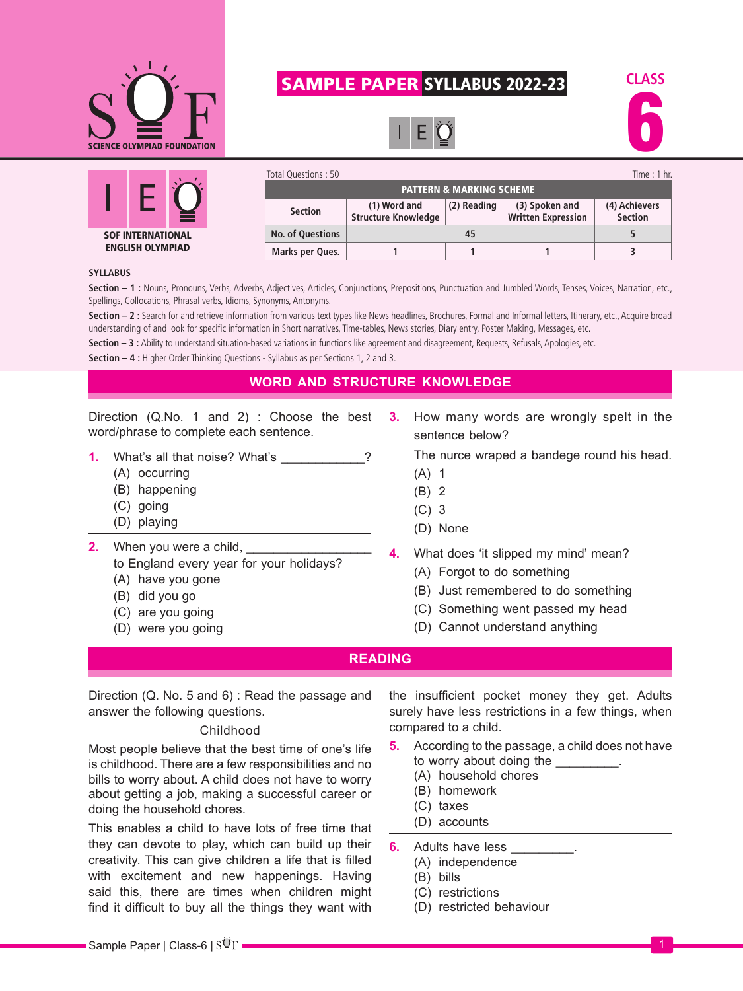

# SAMPLE PAPER SYLLABUS 2022-23







| Total Questions: 50                 |                                            |             |                                             | Time: $1$ hr.                   |
|-------------------------------------|--------------------------------------------|-------------|---------------------------------------------|---------------------------------|
| <b>PATTERN &amp; MARKING SCHEME</b> |                                            |             |                                             |                                 |
| <b>Section</b>                      | (1) Word and<br><b>Structure Knowledge</b> | (2) Reading | (3) Spoken and<br><b>Written Expression</b> | (4) Achievers<br><b>Section</b> |
| <b>No. of Questions</b>             | 45                                         |             |                                             |                                 |
| Marks per Ques.                     |                                            |             |                                             |                                 |

#### **SYLLABUS**

Section - 1 : Nouns, Pronouns, Verbs, Adverbs, Adjectives, Articles, Conjunctions, Prepositions, Punctuation and Jumbled Words, Tenses, Voices, Narration, etc., Spellings, Collocations, Phrasal verbs, Idioms, Synonyms, Antonyms.

Section - 2 : Search for and retrieve information from various text types like News headlines, Brochures, Formal and Informal letters, Itinerary, etc., Acquire broad understanding of and look for specific information in Short narratives, Time-tables, News stories, Diary entry, Poster Making, Messages, etc.

Section - 3 : Ability to understand situation-based variations in functions like agreement and disagreement, Requests, Refusals, Apologies, etc.

**Section – 4 :** Higher Order Thinking Questions - Syllabus as per Sections 1, 2 and 3.

# **WORD AND STRUCTURE KNOWLEDGE**

Direction (Q.No. 1 and 2) : Choose the best word/phrase to complete each sentence.

- **1.** What's all that noise? What's **2.1.** 2
	- (A) occurring
	- (B) happening
	- (C) going
	- (D) playing

**3.** How many words are wrongly spelt in the sentence below?

The nurce wraped a bandege round his head.

- (A) 1
- (B) 2
- (C) 3
- (D) None
- **2.** When you were a child, to England every year for your holidays?
	- (A) have you gone
	- (B) did you go
	- (C) are you going
	- (D) were you going
- **4.** What does 'it slipped my mind' mean?
	- (A) Forgot to do something
	- (B) Just remembered to do something
	- (C) Something went passed my head
	- (D) Cannot understand anything

### **READING**

Direction (Q. No. 5 and 6) : Read the passage and answer the following questions.

#### Childhood

Most people believe that the best time of one's life is childhood. There are a few responsibilities and no bills to worry about. A child does not have to worry about getting a job, making a successful career or doing the household chores.

This enables a child to have lots of free time that they can devote to play, which can build up their creativity. This can give children a life that is filled with excitement and new happenings. Having said this, there are times when children might find it difficult to buy all the things they want with

the insufficient pocket money they get. Adults surely have less restrictions in a few things, when compared to a child.

- **5.** According to the passage, a child does not have to worry about doing the  $\qquad \qquad$ .
	- (A) household chores
	- (B) homework
	- (C) taxes
	- (D) accounts
- **6.** Adults have less (A) independence
	- (B) bills
	-
	- (C) restrictions
	- (D) restricted behaviour